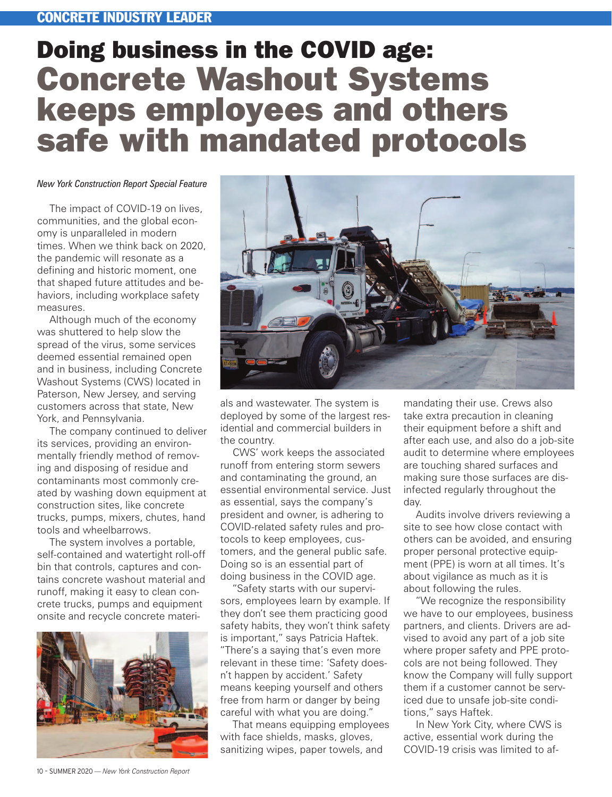## CONCRETE INDUSTRY LEADER

## Doing business in the COVID age: Concrete Washout Systems keeps employees and others safe with mandated protocols

## *New York Construction Report Special Feature*

The impact of COVID-19 on lives, communities, and the global economy is unparalleled in modern times. When we think back on 2020, the pandemic will resonate as a defining and historic moment, one that shaped future attitudes and behaviors, including workplace safety measures.

Although much of the economy was shuttered to help slow the spread of the virus, some services deemed essential remained open and in business, including [Concrete](https://concretewashoutnjny.com/About-Us) [Washout Systems](https://concretewashoutnjny.com/About-Us) (CWS) located in Paterson, New Jersey, and serving customers across that state, New York, and Pennsylvania.

The company continued to deliver its services, providing an environmentally friendly method of removing and disposing of residue and contaminants most commonly created by washing down equipment at construction sites, like concrete trucks, pumps, mixers, chutes, hand tools and wheelbarrows.

The system involves a portable, self-contained and watertight roll-off bin that controls, captures and contains concrete washout material and runoff, making it easy to clean concrete trucks, pumps and equipment onsite and recycle concrete materi-





als and wastewater. The system is deployed by some of the largest residential and commercial builders in the country.

CWS' work keeps the associated runoff from entering storm sewers and contaminating the ground, an essential environmental service. Just as essential, says the company's president and owner, is adhering to COVID-related safety rules and protocols to keep employees, customers, and the general public safe. Doing so is an essential part of doing business in the COVID age.

"Safety starts with our supervisors, employees learn by example. If they don't see them practicing good safety habits, they won't think safety is important," says Patricia Haftek. "There's a saying that's even more relevant in these time: 'Safety doesn't happen by accident.' Safety means keeping yourself and others free from harm or danger by being careful with what you are doing."

That means equipping employees with face shields, masks, gloves, sanitizing wipes, paper towels, and

mandating their use. Crews also take extra precaution in cleaning their equipment before a shift and after each use, and also do a job-site audit to determine where employees are touching shared surfaces and making sure those surfaces are disinfected regularly throughout the day.

Audits involve drivers reviewing a site to see how close contact with others can be avoided, and ensuring proper personal protective equipment (PPE) is worn at all times. It's about vigilance as much as it is about following the rules.

"We recognize the responsibility we have to our employees, business partners, and clients. Drivers are advised to avoid any part of a job site where proper safety and PPE protocols are not being followed. They know the Company will fully support them if a customer cannot be serviced due to unsafe job-site conditions," says Haftek.

In New York City, where CWS is active, essential work during the COVID-19 crisis was limited to af-

10 – SUMMER 2020 *— New York Construction Report*